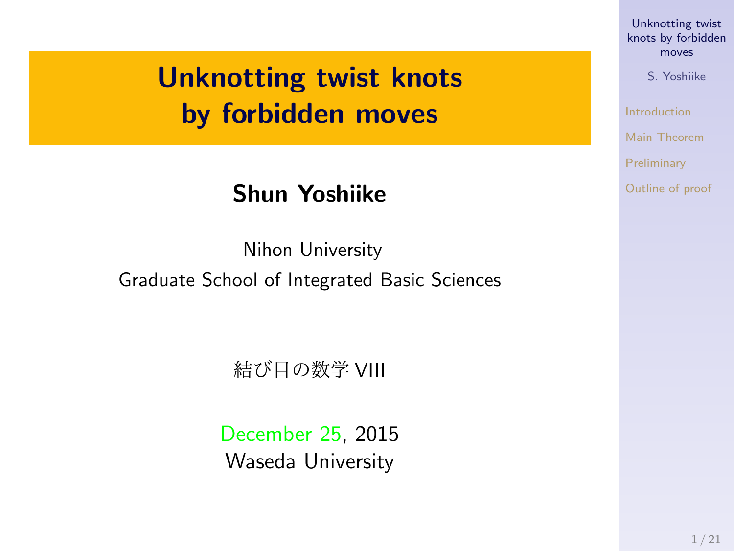### **Unknotting twist knots by forbidden moves**

#### **Shun Yoshiike**

Nihon University Graduate School of Integrated Basic Sciences

#### 結び目の数学 VIII

December 25, 2015 Waseda University

### Unknotting twist knots by forbidden moves S. Yoshiike

Introduction Main Theorem Preliminary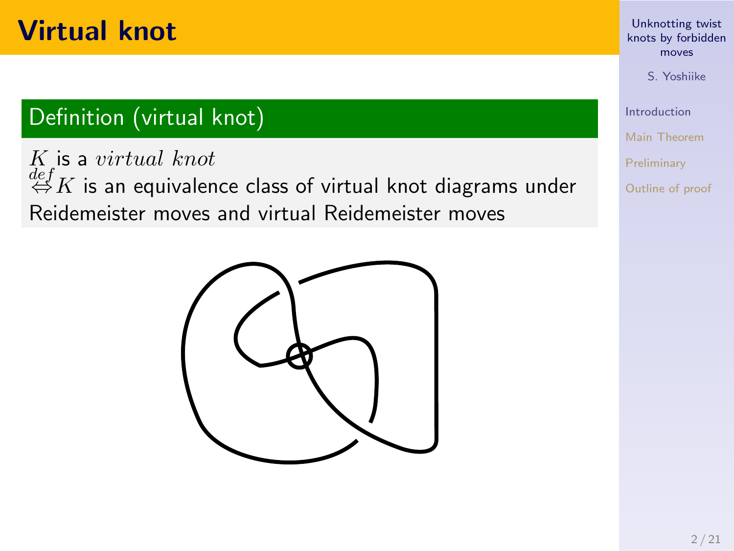### **Virtual knot**

### Definition (virtual knot)

*K* is a *virtual knot def ⇔K* is an equivalence class of virtual knot diagrams under Reidemeister moves and virtual Reidemeister moves



# Unknotting twist knots by forbidden moves

S. Yoshiike

Introduction Main Theorem Preliminary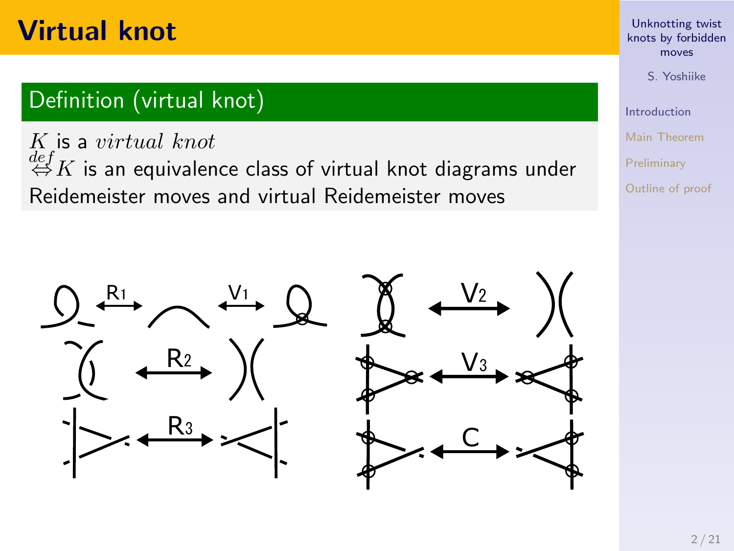### **Virtual knot**

#### Definition (virtual knot)

*K* is a *virtual knot def ⇔K* is an equivalence class of virtual knot diagrams under Reidemeister moves and virtual Reidemeister moves



# Unknotting twist knots by forbidden moves

S. Yoshiike

Introduction Main Theorem

Preliminary Outline of proof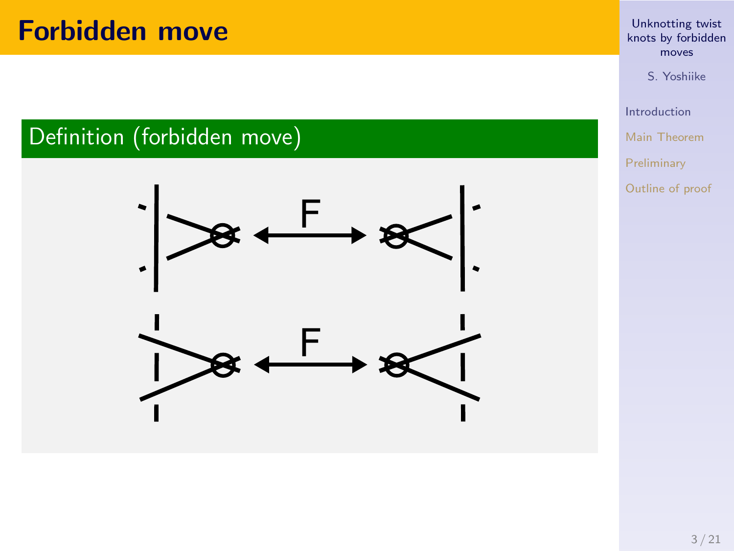### **Forbidden move**





# Unknotting twist knots by forbidden moves

S. Yoshiike

Introduction Main Theorem Preliminary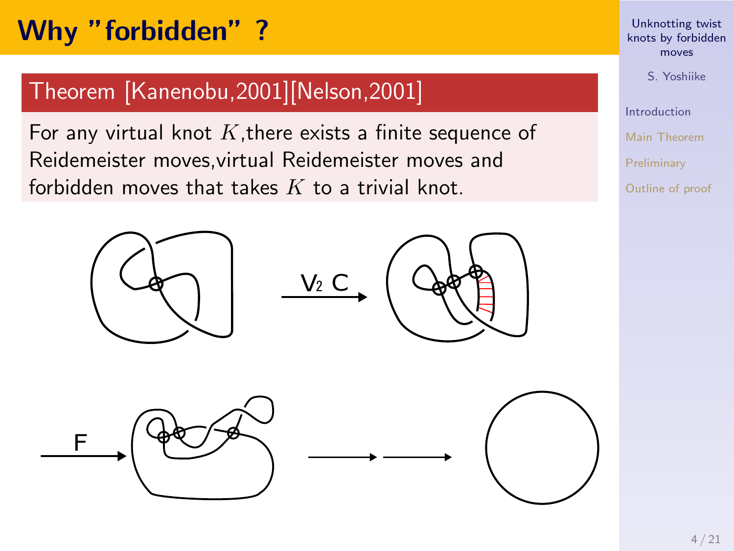### **Why "forbidden" ?**

### Theorem [Kanenobu,2001][Nelson,2001]

For any virtual knot *K*,there exists a finite sequence of Reidemeister moves,virtual Reidemeister moves and forbidden moves that takes *K* to a trivial knot.







# Unknotting twist knots by forbidden moves

S. Yoshiike Introduction

Main Theorem Preliminary Outline of proof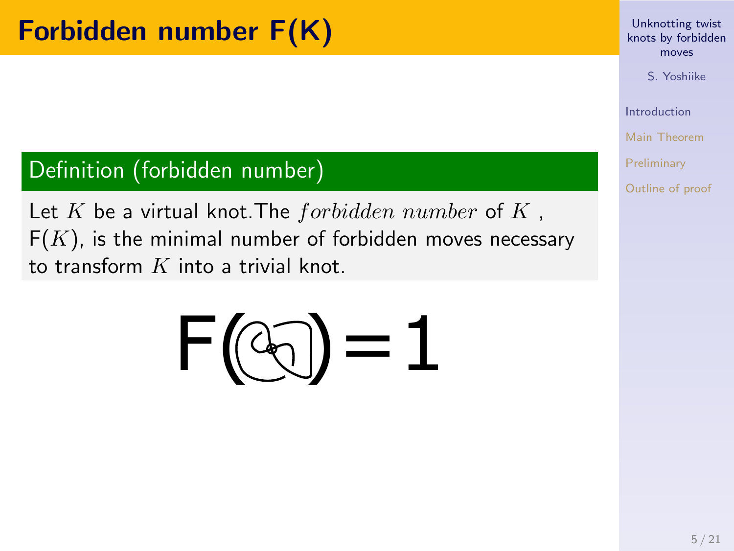### **Forbidden number F(K)**

#### Definition (forbidden number)

Let *K* be a virtual knot.The *forbidden number* of *K* ,  $F(K)$ , is the minimal number of forbidden moves necessary to transform *K* into a trivial knot.



# Unknotting twist knots by forbidden moves

S. Yoshiike

Introduction Main Theorem Preliminary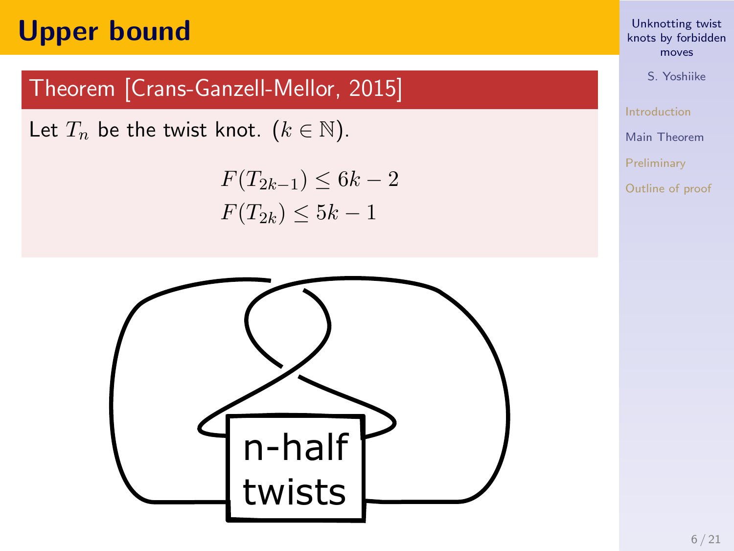### **Upper bound**

### Theorem [Crans-Ganzell-Mellor, 2015]

Let  $T_n$  be the twist knot.  $(k \in \mathbb{N})$ .

$$
F(T_{2k-1}) \le 6k - 2
$$
  

$$
F(T_{2k}) \le 5k - 1
$$



# Unknotting twist knots by forbidden moves

S. Yoshiike Introduction Main Theorem Preliminary Outline of proof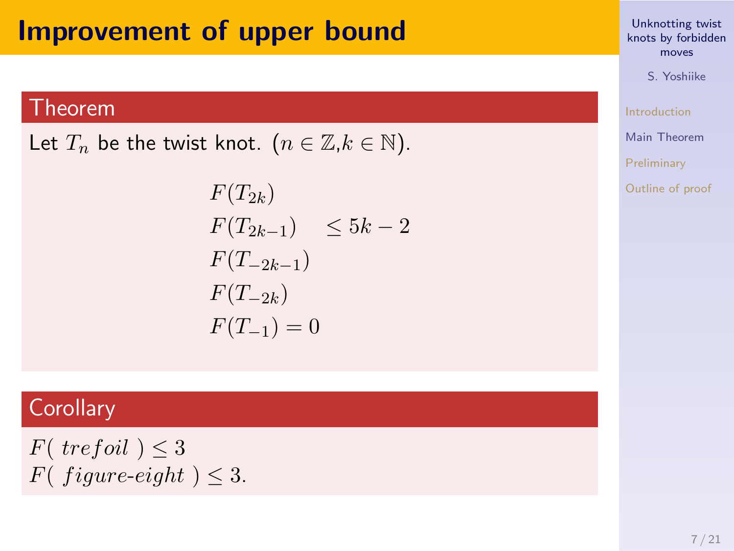### **Improvement of upper bound**

#### Theorem

Let  $T_n$  be the twist knot.  $(n \in \mathbb{Z}, k \in \mathbb{N})$ .

$$
F(T_{2k})
$$
  
\n
$$
F(T_{2k-1}) \le 5k-2
$$
  
\n
$$
F(T_{-2k-1})
$$
  
\n
$$
F(T_{-2k})
$$
  
\n
$$
F(T_{-1}) = 0
$$

### **Corollary**

*F*( *trefoil* )  $\leq$  3 *F*( $figure\text{-}eight$ )  $\leq$  3.

# Unknotting twist knots by forbidden moves

S. Yoshiike Introduction Main Theorem Preliminary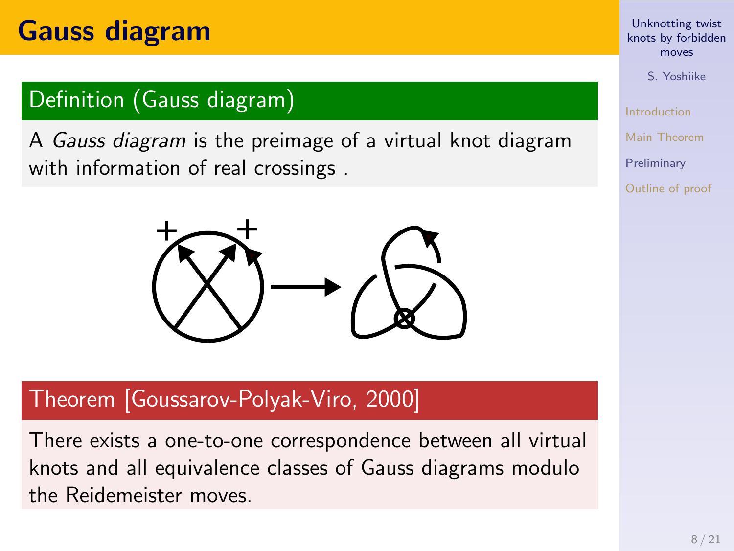### **Gauss diagram**

#### Definition (Gauss diagram)

A *Gauss diagram* is the preimage of a virtual knot diagram with information of real crossings .



#### Theorem [Goussarov-Polyak-Viro, 2000]

There exists a one-to-one correspondence between all virtual knots and all equivalence classes of Gauss diagrams modulo the Reidemeister moves.

# Unknotting twist knots by forbidden moves

S. Yoshiike Introduction

```
Main Theorem
Preliminary
```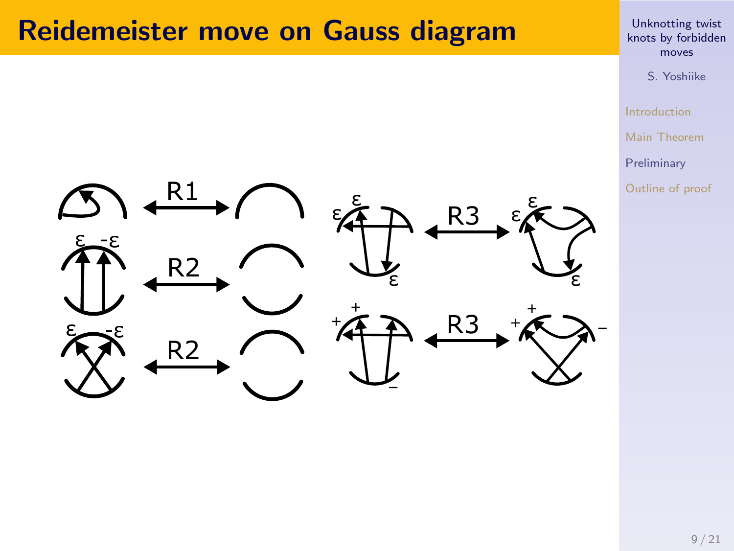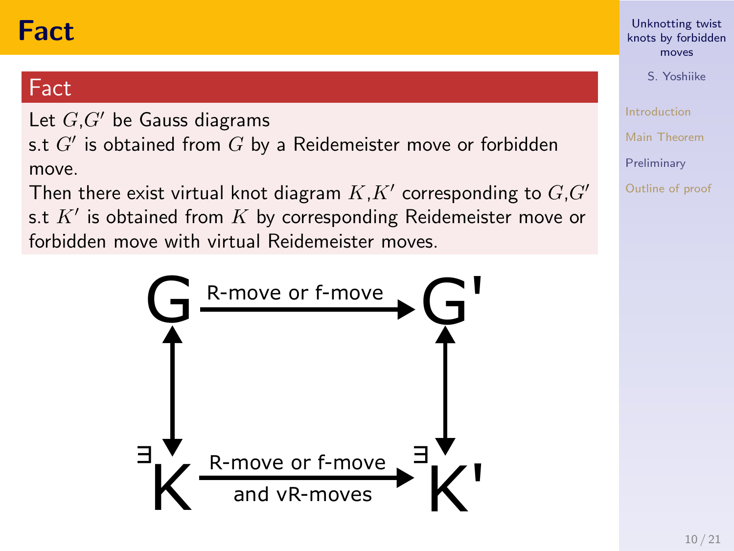### **Fact**

#### Fact

Let *G*,*G′* be Gauss diagrams

s.t *G′* is obtained from *G* by a Reidemeister move or forbidden move.

Then there exist virtual knot diagram *K*,*K′* corresponding to *G*,*G′* s.t *K′* is obtained from *K* by corresponding Reidemeister move or forbidden move with virtual Reidemeister moves.



# Unknotting twist knots by forbidden moves

S. Yoshiike

Introduction

Main Theorem

Preliminary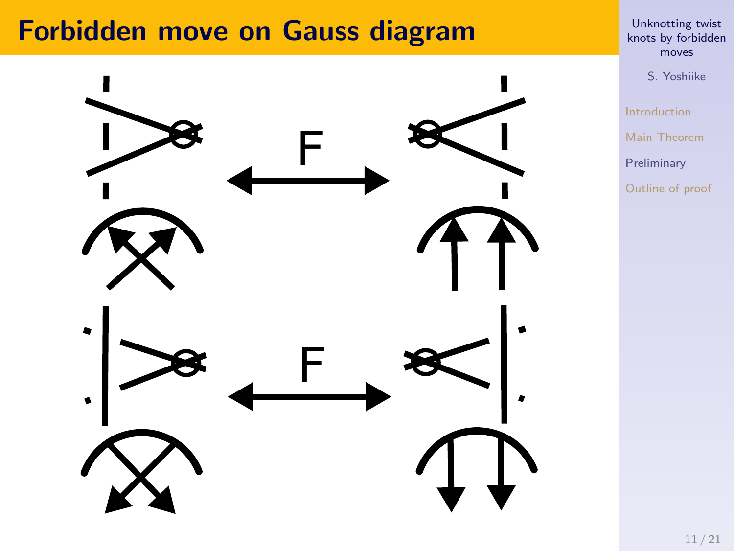

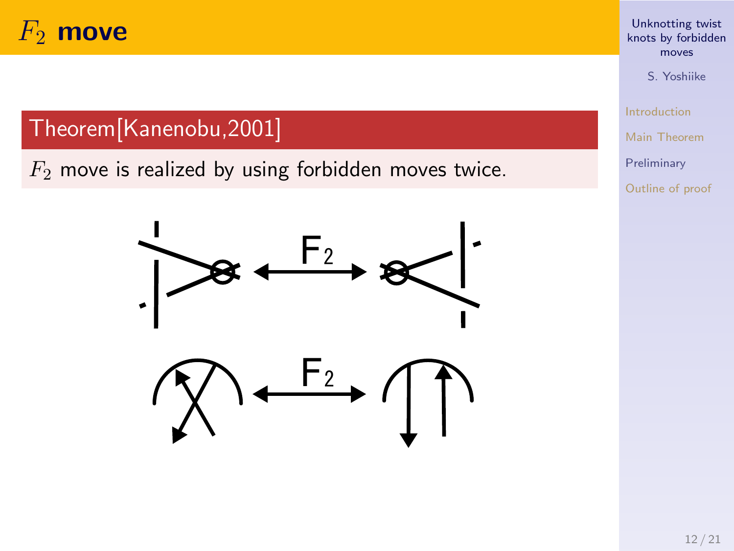### *F*<sup>2</sup> **move**

#### Theorem[Kanenobu,2001]

*F*<sup>2</sup> move is realized by using forbidden moves twice.



Unknotting twist knots by forbidden moves S. Yoshiike

Introduction Main Theorem Preliminary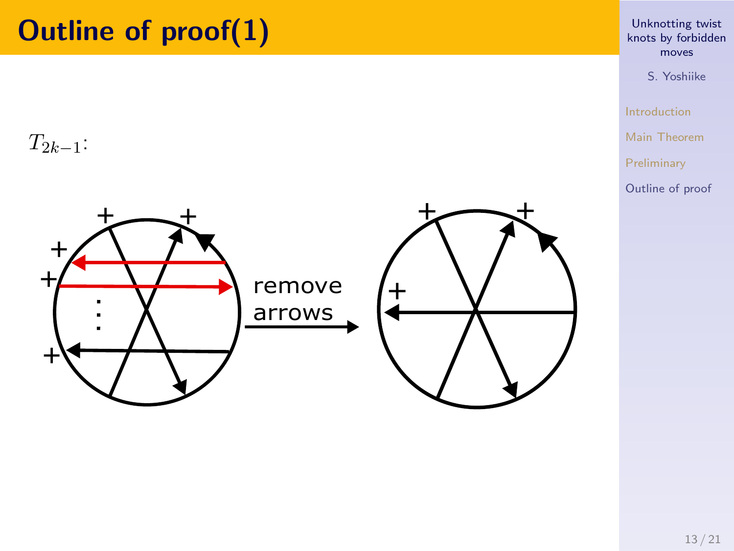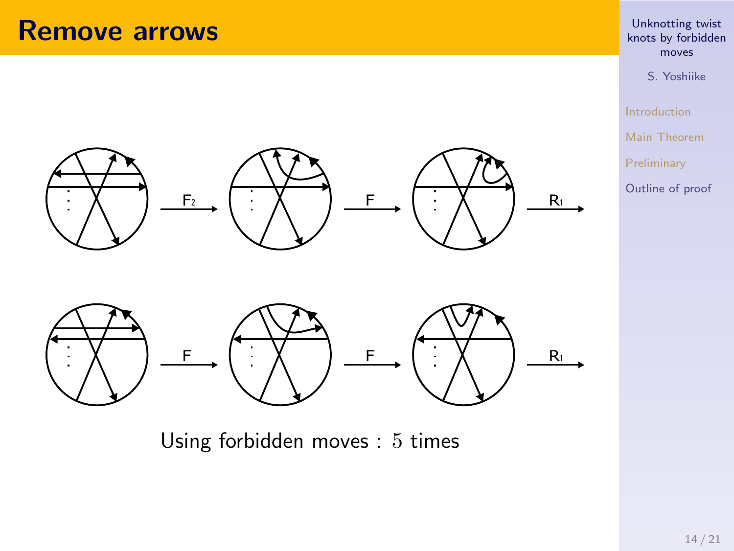### **Remove arrows**



Using forbidden moves : 5 times

### Unknotting twist knots by forbidden moves

S. Yoshiike Introduction Main Theorem Preliminary Outline of proof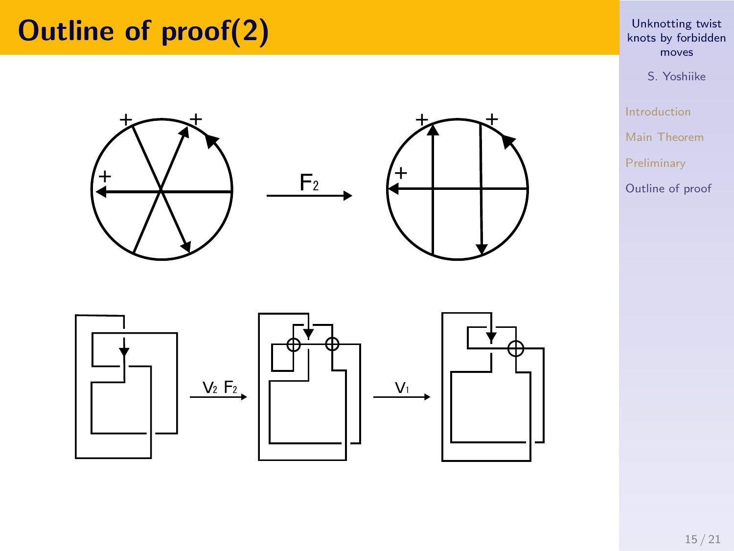# **Outline of proof(2)**







 $F<sub>2</sub>$ 

# Unknotting twist knots by forbidden moves

S. Yoshiike Introduction Main Theorem Preliminary Outline of proof

15 / 21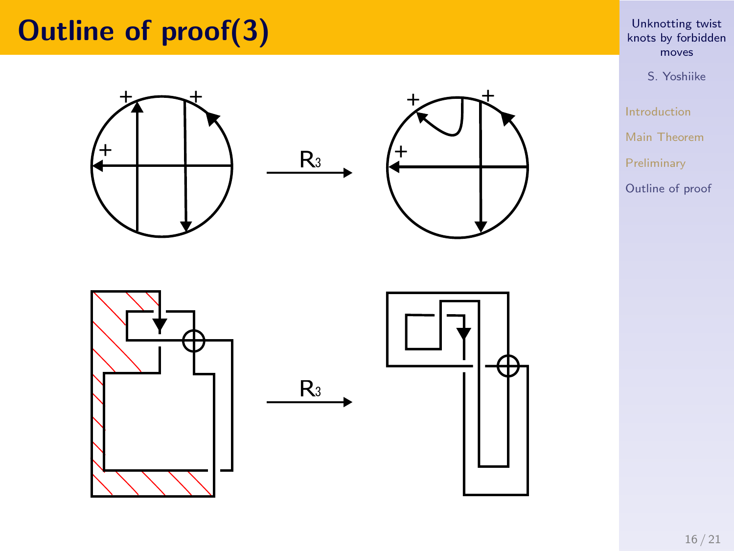# **Outline of proof(3)**









# Unknotting twist knots by forbidden moves

S. Yoshiike Introduction Main Theorem Preliminary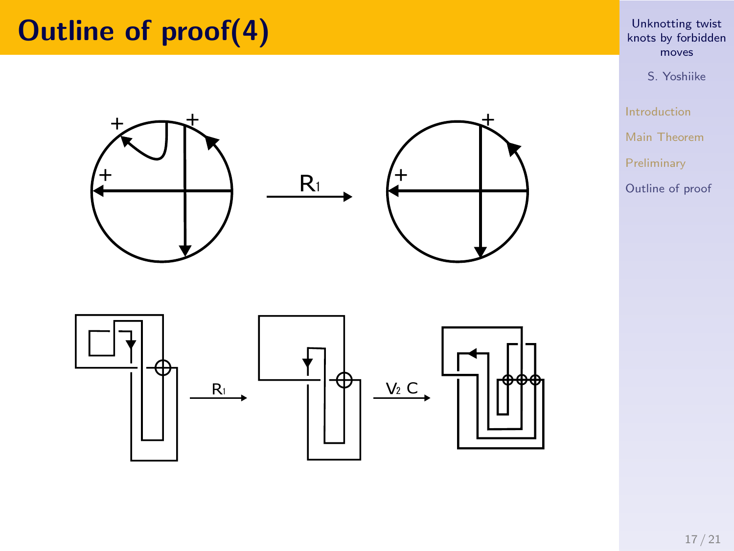# **Outline of proof(4)**







# Unknotting twist knots by forbidden moves

S. Yoshiike Introduction Main Theorem Preliminary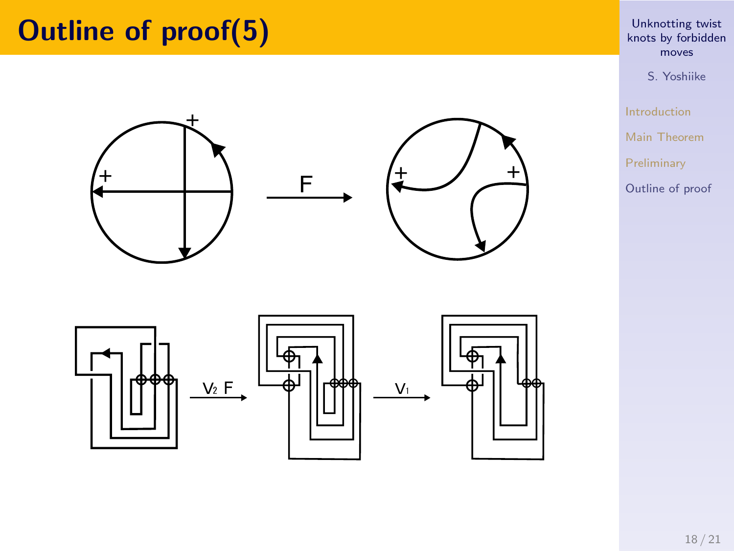# **Outline of proof(5)**









# Unknotting twist knots by forbidden moves

S. Yoshiike Introduction Main Theorem Preliminary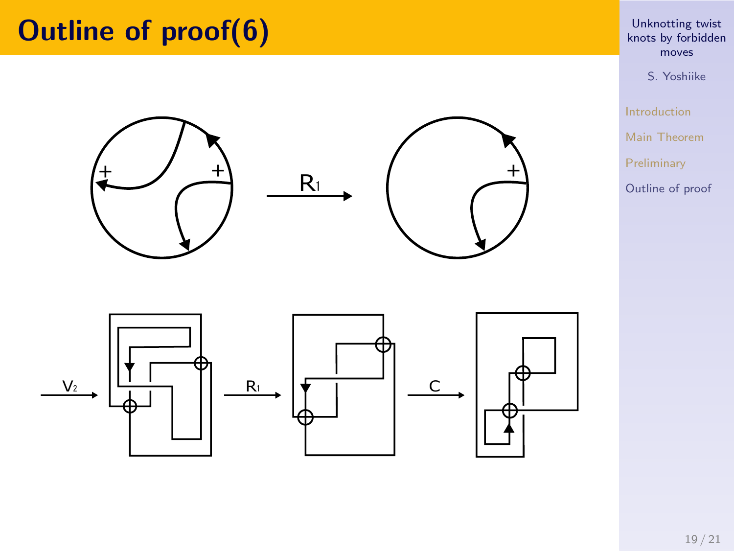

# Unknotting twist knots by forbidden moves

Introduction Main Theorem Preliminary Outline of proof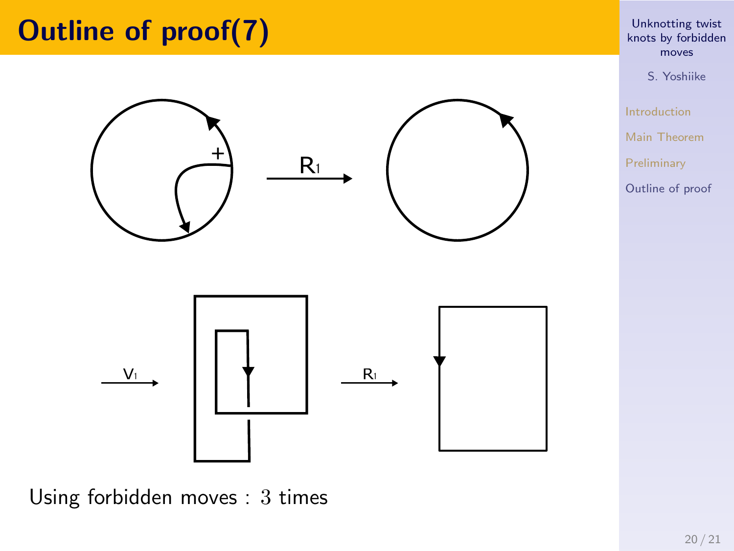

#### Using forbidden moves : 3 times